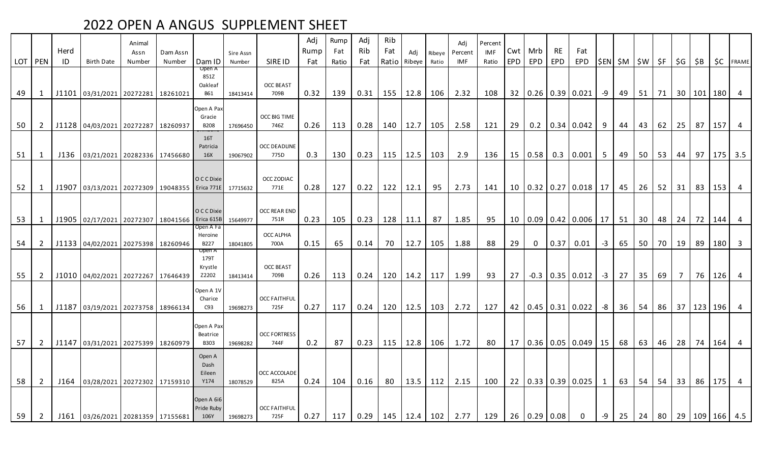| LOT PEN |                | Herd<br>ID | Birth Date                                    | Animal<br>Assn<br>Number | Dam Assn<br>Number | Dam ID                                 | Sire Assn<br>Number | SIRE ID                     | Adj<br>Rump<br>Fat | Rump<br>Fat<br>Ratio | Adj<br>Rib<br>Fat | Rib<br>Fat<br>Ratio | Adj<br>Ribeye | Ribeye<br>Ratio | Adj<br>Percent<br>IMF | Percent<br>IMF<br>Ratio | Cwt I<br><b>EPD</b> | Mrb<br>EPD  | <b>RE</b><br>EPD              | Fat<br>EPD                          |      | \$EN  \$M   \$W   \$F |                 |           | $\mid$ \$G $\mid$ | \$B                      |     | <b>\$C</b> FRAME                    |
|---------|----------------|------------|-----------------------------------------------|--------------------------|--------------------|----------------------------------------|---------------------|-----------------------------|--------------------|----------------------|-------------------|---------------------|---------------|-----------------|-----------------------|-------------------------|---------------------|-------------|-------------------------------|-------------------------------------|------|-----------------------|-----------------|-----------|-------------------|--------------------------|-----|-------------------------------------|
| 49      | 1              |            | J1101 03/31/2021 20272281 18261021            |                          |                    | Open A<br>851Z<br>Oakleaf<br>B61       | 18413414            | <b>OCC BEAST</b><br>709B    | 0.32               | 139                  | 0.31              | 155                 | 12.8          | 106             | 2.32                  | 108                     |                     |             |                               | 32   0.26   0.39   0.021            | -9   | 49                    |                 | $51$   71 |                   | 30   101   180           |     | 4                                   |
| 50      | $\overline{2}$ |            | J1128 04/03/2021 20272287 18260937            |                          |                    | Open A Pax<br>Gracie<br><b>B208</b>    | 17696450            | OCC BIG TIME<br>746Z        | 0.26               | 113                  | 0.28              | 140                 | 12.7          | 105             | 2.58                  | 121                     | 29                  | 0.2         |                               | $0.34 \mid 0.042$                   | 9    | 44                    | 43              | 62        | 25                | 87                       | 157 | $\begin{array}{ccc} \end{array}$    |
| 51      | 1              |            | J136 03/21/2021 20282336 17456680             |                          |                    | 16T<br>Patricia<br>16X                 | 19067902            | <b>OCC DEADLINE</b><br>775D | 0.3                | 130                  | 0.23              | 115                 | 12.5          | 103             | 2.9                   | 136                     |                     | 15   0.58   |                               | $0.3$ 0.001                         | 5    | 49                    | 50 <sup>1</sup> | 53        | 44                | $97 \mid$                |     | $175$ 3.5                           |
| 52      | $\mathbf{1}$   |            | J1907 03/13/2021 20272309 19048355 Erica 771E |                          |                    | O C C Dixie                            | 17715632            | OCC ZODIAC<br>771E          | 0.28               | 127                  | 0.22              | 122                 | 12.1          | 95              | 2.73                  | 141                     |                     | 10   0.32   |                               | $0.27$ 0.018                        | 17   | 45                    | 26              | 52        | 31                | 83                       | 153 | $\overline{4}$                      |
| 53      | 1              |            | J1905 02/17/2021 20272307 18041566 Erica 615B |                          |                    | O C C Dixie                            | 15649977            | OCC REAR END<br>751R        | 0.23               | 105                  | 0.23              | 128                 | 11.1          | 87              | 1.85                  | 95                      |                     | 10   0.09   |                               | $0.42 \mid 0.006 \mid$              | 17   | 51                    | 30 <sup>1</sup> | 48        | 24                | 72                       | 144 | $\overline{4}$                      |
| 54      | $\overline{2}$ |            | J1133 04/02/2021 20275398 18260946            |                          |                    | Open A Fa<br>Heroine<br>B227<br>Open A | 18041805            | OCC ALPHA<br>700A           | 0.15               | 65                   | 0.14              | 70                  | 12.7          | 105             | 1.88                  | 88                      | 29                  | $\mathbf 0$ | 0.37                          | 0.01                                | $-3$ | 65                    | 50 <sup>1</sup> | 70        | 19                | 89                       | 180 | $\overline{\mathbf{3}}$             |
| 55      | $\overline{2}$ |            | J1010 04/02/2021 20272267 17646439            |                          |                    | 179T<br>Krystle<br>Z2202               | 18413414            | <b>OCC BEAST</b><br>709B    | 0.26               | 113                  | 0.24              | 120                 | 14.2          | 117             | 1.99                  | 93                      | 27 <sup>1</sup>     | $-0.3$      |                               | $0.35$ 0.012                        | $-3$ | $27 \mid$             |                 | 35   69   | $7\overline{ }$   | 76                       |     | $126$ 4                             |
| 56      | 1              |            | J1187 03/19/2021 20273758 18966134            |                          |                    | Open A 1V<br>Charice<br>C93            | 19698273            | <b>OCC FAITHFUL</b><br>725F | 0.27               | 117                  | 0.24              | 120                 | 12.5          | 103             | 2.72                  | 127                     |                     |             |                               | 42   0.45   0.31   0.022            | $-8$ | 36                    |                 |           |                   | 54   86   37   123   196 |     | $\overline{4}$                      |
| 57      | $2^{\circ}$    |            | J1147 03/31/2021 20275399 18260979            |                          |                    | Open A Pax<br>Beatrice<br><b>B303</b>  | 19698282            | <b>OCC FORTRESS</b><br>744F | 0.2                | 87                   | 0.23              | 115                 | 12.8          | 106             | 1.72                  | 80                      |                     |             |                               | $17 \mid 0.36 \mid 0.05 \mid 0.049$ | 15   | 68                    | 63              | 46        | 28                | 74                       | 164 | 4                                   |
| 58      | $\overline{2}$ | J164       | 03/28/2021 20272302 17159310                  |                          |                    | Open A<br>Dash<br>Eileen<br>Y174       | 18078529            | OCC ACCOLADE<br>825A        | 0.24               | 104                  | 0.16              | 80                  | 13.5          | 112             | 2.15                  | 100                     |                     |             |                               | 22 0.33 0.39 0.025 1                |      | 63                    |                 | $54$ 54   | 33                | 86                       | 175 | $\overline{4}$                      |
| 59      | $\overline{2}$ |            | J161 03/26/2021 20281359 17155681             |                          |                    | Open A 6i6<br>Pride Ruby<br>106Y       | 19698273            | <b>OCC FAITHFUL</b><br>725F | 0.27               | 117                  | 0.29              | 145                 |               |                 | $12.4$   102   2.77   | 129                     |                     |             | $26 \mid 0.29 \mid 0.08 \mid$ | $\overline{0}$                      | $-9$ |                       |                 |           |                   |                          |     | 25   24   80   29   109   166   4.5 |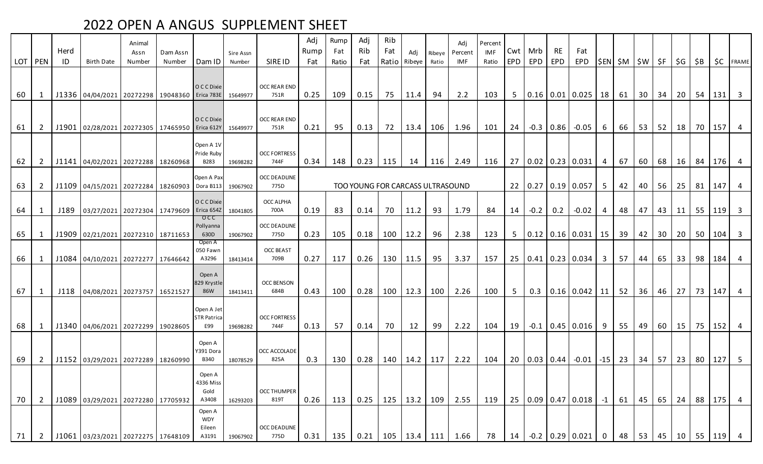| LOT   PEN |                | Herd<br>ID               | Birth Date                                    | Animal<br>Assn<br>Number | Dam Assn<br>Number | Dam ID                                                                                                                                                                                                                                                                                                                                            | Sire Assn<br>Number                                   | SIRE ID                                                                                                | Adj<br>Rump<br>Fat           | Rump<br>Fat<br>Ratio | Adj<br>Rib<br>Fat       | Rib<br>Fat<br>Ratio          | Adi<br>Ribeye                                   | Ribeve<br>Ratio | Adi<br>Percent<br>IMF                    | Percent<br>IMF<br>Ratio                                                                    | EPD               | Cwt Mrb<br>EPD              | <b>RE</b><br>EPD | Fat<br>EPD                   |                                         | \$EN  \$M   \$W   \$F   \$G                                          |                                                                                                                                       |                                    |                                      | ∣\$B                                                                     |                                                          | <b>\$C</b> FRAME                            |
|-----------|----------------|--------------------------|-----------------------------------------------|--------------------------|--------------------|---------------------------------------------------------------------------------------------------------------------------------------------------------------------------------------------------------------------------------------------------------------------------------------------------------------------------------------------------|-------------------------------------------------------|--------------------------------------------------------------------------------------------------------|------------------------------|----------------------|-------------------------|------------------------------|-------------------------------------------------|-----------------|------------------------------------------|--------------------------------------------------------------------------------------------|-------------------|-----------------------------|------------------|------------------------------|-----------------------------------------|----------------------------------------------------------------------|---------------------------------------------------------------------------------------------------------------------------------------|------------------------------------|--------------------------------------|--------------------------------------------------------------------------|----------------------------------------------------------|---------------------------------------------|
|           |                |                          |                                               |                          |                    |                                                                                                                                                                                                                                                                                                                                                   |                                                       |                                                                                                        |                              |                      |                         |                              |                                                 |                 |                                          |                                                                                            |                   |                             |                  |                              |                                         |                                                                      |                                                                                                                                       |                                    |                                      |                                                                          |                                                          |                                             |
| 60        | 1              |                          | J1336 04/04/2021 20272298 19048360 Erica 783E |                          |                    | O C C Dixie                                                                                                                                                                                                                                                                                                                                       | 15649977                                              | <b>OCC REAR END</b><br>751R                                                                            | 0.25                         | 109                  | 0.15                    | 75                           | 11.4                                            | 94              | 2.2                                      | 103                                                                                        |                   |                             |                  | 5   0.16   0.01   0.025   18 |                                         | 61                                                                   | 30 <sup>1</sup>                                                                                                                       |                                    | $34$   20                            | 54                                                                       | $131 \quad 3$                                            |                                             |
|           |                |                          |                                               |                          |                    | O C C Dixie                                                                                                                                                                                                                                                                                                                                       |                                                       | <b>OCC REAR END</b>                                                                                    |                              |                      |                         |                              |                                                 |                 |                                          |                                                                                            |                   |                             |                  |                              |                                         |                                                                      |                                                                                                                                       |                                    |                                      |                                                                          |                                                          |                                             |
| 61        | 2              |                          | J1901 02/28/2021 20272305 17465950 Erica 612Y |                          |                    |                                                                                                                                                                                                                                                                                                                                                   | 15649977                                              | 751R                                                                                                   | 0.21                         | 95                   | 0.13                    | 72                           | 13.4                                            | 106             | 1.96                                     | 101                                                                                        | 24                |                             |                  | $-0.3$ 0.86 $-0.05$          | 6                                       | 66                                                                   |                                                                                                                                       | 53 52 18 70                        |                                      |                                                                          |                                                          | $157$ 4                                     |
| 62        | 2              |                          |                                               |                          |                    | Open A 1V<br>Pride Ruby<br>B283                                                                                                                                                                                                                                                                                                                   | 19698282                                              | <b>OCC FORTRESS</b><br>744F                                                                            | 0.34                         | 148                  |                         |                              | 14                                              |                 |                                          |                                                                                            |                   |                             |                  |                              |                                         | 67                                                                   |                                                                                                                                       |                                    |                                      | 84                                                                       |                                                          | $176$ 4                                     |
| 63        | $\overline{2}$ |                          |                                               |                          |                    |                                                                                                                                                                                                                                                                                                                                                   | 19067902                                              | <b>OCC DEADLINE</b><br>775D                                                                            |                              |                      |                         |                              |                                                 |                 |                                          |                                                                                            |                   |                             |                  |                              | 5 <sup>5</sup>                          | 42                                                                   |                                                                                                                                       |                                    | 25                                   | 81                                                                       | 147                                                      | $\overline{4}$                              |
| 64        | $\mathbf{1}$   | J189                     |                                               |                          |                    | O C C Dixie                                                                                                                                                                                                                                                                                                                                       | 18041805                                              | OCC ALPHA<br>700A                                                                                      | 0.19                         | 83                   | 0.14                    | 70                           | 11.2                                            | 93              | 1.79                                     | 84                                                                                         |                   |                             | 0.2              | $-0.02$                      | 4                                       | 48                                                                   | 47                                                                                                                                    |                                    |                                      | 55                                                                       | $119$ 3                                                  |                                             |
| 65        | 1              |                          |                                               |                          |                    | Pollyanna<br>630D                                                                                                                                                                                                                                                                                                                                 | 19067902                                              | <b>OCC DEADLINE</b><br>775D                                                                            | 0.23                         | 105                  |                         | 100                          |                                                 | 96              | 2.38                                     | 123                                                                                        |                   |                             |                  |                              |                                         |                                                                      |                                                                                                                                       |                                    |                                      |                                                                          |                                                          | $104$ 3                                     |
| 66        | -1             |                          |                                               |                          |                    | 050 Fawn<br>A3296                                                                                                                                                                                                                                                                                                                                 | 18413414                                              | <b>OCC BEAST</b><br>709B                                                                               | 0.27                         | 117                  | 0.26                    | 130                          | 11.5                                            | 95              | 3.37                                     | 157                                                                                        |                   |                             |                  |                              | $\mathbf{3}$                            | 57                                                                   | 44                                                                                                                                    |                                    |                                      | 98                                                                       | $184$ 4                                                  |                                             |
| 67        | 1              |                          |                                               |                          |                    | Open A<br>829 Krystle<br>86W                                                                                                                                                                                                                                                                                                                      | 18413411                                              | <b>OCC BENSON</b><br>684B                                                                              | 0.43                         |                      |                         |                              |                                                 |                 |                                          | 100                                                                                        |                   |                             |                  |                              |                                         |                                                                      |                                                                                                                                       |                                    |                                      |                                                                          |                                                          |                                             |
|           |                |                          |                                               |                          |                    | Open A Jet<br><b>STR Patrica</b>                                                                                                                                                                                                                                                                                                                  |                                                       | <b>OCC FORTRESS</b>                                                                                    |                              |                      |                         |                              |                                                 |                 |                                          |                                                                                            |                   |                             |                  |                              |                                         |                                                                      |                                                                                                                                       |                                    |                                      |                                                                          |                                                          |                                             |
| 69        |                |                          |                                               |                          |                    | Open A<br>Y391 Dora                                                                                                                                                                                                                                                                                                                               |                                                       | 825A                                                                                                   |                              |                      |                         |                              |                                                 |                 |                                          |                                                                                            |                   |                             |                  |                              |                                         |                                                                      |                                                                                                                                       |                                    |                                      |                                                                          |                                                          |                                             |
|           |                |                          |                                               |                          |                    | Open A<br>4336 Miss<br>Gold                                                                                                                                                                                                                                                                                                                       |                                                       | <b>OCC THUMPER</b>                                                                                     |                              |                      |                         |                              |                                                 |                 |                                          |                                                                                            |                   |                             |                  |                              |                                         |                                                                      |                                                                                                                                       |                                    |                                      |                                                                          |                                                          | $\overline{4}$                              |
| 71        | $\overline{2}$ |                          |                                               |                          |                    | Open A<br><b>WDY</b><br>Eileen<br>A3191                                                                                                                                                                                                                                                                                                           | 19067902                                              | OCC DEADLINE<br>775D                                                                                   | 0.31                         | 135                  | 0.21                    | 105                          | 13.4                                            |                 | 1.66                                     | 78                                                                                         | 14                |                             |                  |                              | $\mathbf{0}$                            | 48                                                                   | 53                                                                                                                                    |                                    | 10                                   | 55                                                                       |                                                          | $\overline{4}$                              |
|           | 68<br>70       | 1<br>2<br>$\overline{2}$ |                                               |                          |                    | J1141 04/02/2021 20272288 18260968<br>J1109 04/15/2021 20272284 18260903<br>J1909 02/21/2021 20272310 18711653<br>J1084 04/10/2021 20272277 17646642<br>J118 04/08/2021 20273757 16521527<br>J1340 04/06/2021 20272299 19028605<br>J1152 03/29/2021 20272289 18260990<br>J1089 03/29/2021 20272280 17705932<br>J1061 03/23/2021 20272275 17648109 | $_{\rm occ}$<br>Open A<br>E99<br><b>B340</b><br>A3408 | Open A Pax<br>Dora B113<br>03/27/2021 20272304 17479609 Erica 654Z<br>19698282<br>18078529<br>16293203 | 744F<br>OCC ACCOLADE<br>819T | 0.13<br>0.3<br>0.26  | 100<br>57<br>130<br>113 | 0.28<br>0.14<br>0.28<br>0.25 | $0.23$   115<br>0.18<br>100<br>70<br>140<br>125 | 12<br>13.2      | 12.2<br>12.3<br>99<br>14.2<br>117<br>109 | 116 2.49<br>TOO YOUNG FOR CARCASS ULTRASOUND<br>2.26<br>100<br>2.22<br>2.22<br>2.55<br>111 | 104<br>104<br>119 | 116<br>14<br>5 <sup>5</sup> | 19               | $-0.2$                       | 20   0.03   0.44  <br>$-0.2$ 0.29 0.021 | 22 0.27 0.19 0.057<br>25 0.41 0.23 0.034<br>25   0.09   0.47   0.018 | 27 0.02 0.23 0.031 4<br>5   0.12   0.16   0.031   15   39<br>$0.3$   0.16   0.042   11  <br>$-0.1$   0.45   0.016   9  <br>61<br>$-1$ | 52<br>55<br>$-0.01$ $-15$ 23<br>45 | 60  <br>40<br>42  <br>36<br>49<br>34 | 56<br>43 11<br>$65$ 33<br>46   27<br>$57 \mid$<br>23<br>65  <br>24<br>45 | 68 16<br>$30$   20  <br>50<br>73<br>60 15 75<br>80<br>88 | $147$ 4<br>$152$ 4<br>$127$ 5<br>175<br>119 |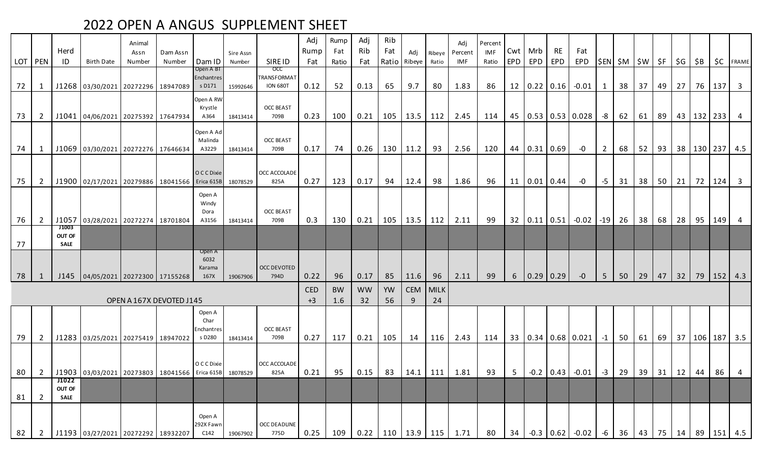|    |                | Herd                                  |                                                                  | Animal<br>Assn | Dam Assn                 |                                        | Sire Assn |                                                     | Adj<br>Rump        | Rump<br>Fat      | Adj<br>Rib      | Rib<br>Fat | Adi    | Ribeve         | Adj<br>Percent                                                                                                    | Percent<br><b>IMF</b> |     | $Cwt$ Mrb | <b>RE</b>                     | Fat                      |                |                             |    |         |    |    |     |                                |
|----|----------------|---------------------------------------|------------------------------------------------------------------|----------------|--------------------------|----------------------------------------|-----------|-----------------------------------------------------|--------------------|------------------|-----------------|------------|--------|----------------|-------------------------------------------------------------------------------------------------------------------|-----------------------|-----|-----------|-------------------------------|--------------------------|----------------|-----------------------------|----|---------|----|----|-----|--------------------------------|
|    | LOT   PEN      | ID                                    | Birth Date                                                       | Number         | Number                   | Dam ID                                 | Number    | SIRE ID                                             | Fat                | Ratio            | Fat             | Ratio      | Ribeye | Ratio          | IMF                                                                                                               | Ratio                 | EPD | EPD       | EPD                           | EPD                      |                | $ \$EN \$M \$W \$F \$G \$B$ |    |         |    |    |     | <b>\$C</b> FRAME               |
| 72 | 1              |                                       | J1268 03/30/2021 20272296 18947089                               |                |                          | Open A BT<br>Enchantres<br>s D171      | 15992646  | <b>OCC</b><br><b>TRANSFORMAT</b><br><b>ION 680T</b> | 0.12               | 52               | 0.13            | 65         | 9.7    | 80             | 1.83                                                                                                              | 86                    |     |           | 12   0.22   0.16              | $-0.01$                  | 1              | 38                          | 37 | 49      | 27 | 76 | 137 | $\overline{\mathbf{3}}$        |
| 73 | $\overline{2}$ |                                       | J1041 04/06/2021 20275392 17647934                               |                |                          | Open A RW<br>Krystle<br>A364           | 18413414  | <b>OCC BEAST</b><br>709B                            | 0.23               | 100              | 0.21            | 105        | 13.5   | 112            | 2.45                                                                                                              | 114                   |     |           |                               | 45 0.53 0.53 0.028       | $-8$           | 62                          |    |         |    |    |     | 61   89   43   132   233   4   |
| 74 | 1              |                                       | J1069 03/30/2021 20272276 17646634                               |                |                          | Open A Ad<br>Malinda<br>A3229          | 18413414  | <b>OCC BEAST</b><br>709B                            | 0.17               | 74               | 0.26            | 130        | 11.2   | 93             | 2.56                                                                                                              | 120                   |     |           | 44 0.31 0.69                  | $-0$                     | $\overline{2}$ | 68                          |    |         |    |    |     | 52   93   38   130   237   4.5 |
| 75 | $\overline{2}$ |                                       | J1900 02/17/2021 20279886 18041566                               |                |                          | O C C Dixie<br>Erica 615B              | 18078529  | <b>OCC ACCOLADE</b><br>825A                         | 0.27               | 123              | 0.17            | 94         | 12.4   | 98             | 1.86                                                                                                              | 96                    |     |           | 11   0.01   0.44              | $-0$                     | $-5$           | 31                          |    | $38$ 50 | 21 |    |     | 72   124   3                   |
| 76 | $\overline{2}$ | J1057                                 | 03/28/2021 20272274 18701804                                     |                |                          | Open A<br>Windy<br>Dora<br>A3156       |           | <b>OCC BEAST</b><br>709B                            | 0.3                | 130              | 0.21            | $105$      | 13.5   | 112            | 2.11                                                                                                              | 99                    |     |           | $32 \mid 0.11 \mid 0.51 \mid$ | $-0.02$                  | $-19$          | 26                          | 38 | 68      | 28 | 95 | 149 |                                |
| 77 |                | <b>J1003</b><br>OUT OF<br><b>SALE</b> |                                                                  |                |                          |                                        | 18413414  |                                                     |                    |                  |                 |            |        |                |                                                                                                                   |                       |     |           |                               |                          |                |                             |    |         |    |    |     |                                |
| 78 | 1              |                                       | J145 04/05/2021 20272300 17155268                                |                |                          | Open A<br>6032<br>Karama<br>167X       | 19067906  | OCC DEVOTED<br>794D                                 | 0.22               | 96               | 0.17            | 85         | 11.6   | 96             | 2.11                                                                                                              | 99                    |     |           | 6   0.29   0.29               | $-0$                     | 5              | 50                          | 29 | 47      | 32 |    |     | 79   152   4.3                 |
|    |                |                                       |                                                                  |                | OPEN A 167X DEVOTED J145 |                                        |           |                                                     | <b>CED</b><br>$+3$ | <b>BW</b><br>1.6 | <b>WW</b><br>32 | YW<br>56   | 9      | CEM MILK<br>24 |                                                                                                                   |                       |     |           |                               |                          |                |                             |    |         |    |    |     |                                |
| 79 | $\overline{2}$ |                                       | J1283 03/25/2021 20275419 18947022                               |                |                          | Open A<br>Char<br>Enchantres<br>s D280 | 18413414  | <b>OCC BEAST</b><br>709B                            | 0.27               | 117              | 0.21            | 105        | 14     | 116            | 2.43                                                                                                              | 114                   |     |           |                               | 33   0.34   0.68   0.021 | $-1$           | 50                          | 61 | 69      |    |    |     | 37 106 187 3.5                 |
|    |                |                                       | 80 2 J1903 03/03/2021 20273803 18041566 Erica 615B 18078529 825A |                |                          | O C C Dixie                            |           | OCC ACCOLADE                                        |                    |                  |                 |            |        |                | $0.21$   95   0.15   83   14.1   111   1.81   93   5   -0.2   0.43   -0.01   -3   29   39   31   12   44   86   4 |                       |     |           |                               |                          |                |                             |    |         |    |    |     |                                |
| 81 | $\overline{2}$ | J1022<br>OUT OF<br>SALE               |                                                                  |                |                          |                                        |           |                                                     |                    |                  |                 |            |        |                |                                                                                                                   |                       |     |           |                               |                          |                |                             |    |         |    |    |     |                                |
| 82 | $\overline{2}$ |                                       | J1193 03/27/2021 20272292 18932207                               |                |                          | Open A<br>292X Fawn<br>C142            | 19067902  | OCC DEADLINE<br>775D                                | 0.25               | 109              |                 |            |        |                | $0.22$   110   13.9   115   1.71                                                                                  | 80                    |     |           |                               | $34$ -0.3 0.62 -0.02     | $-6$           | 36                          |    |         |    |    |     | 43   75   14   89   151   4.5  |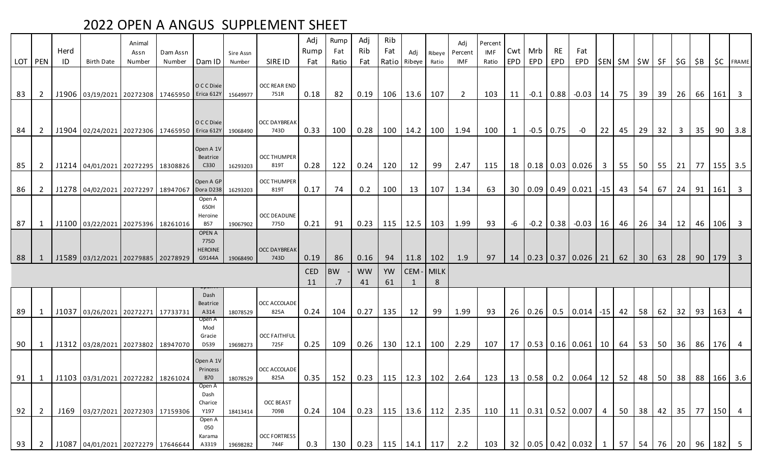|     | LOT PEN        | Herd<br>ID | <b>Birth Date</b>                             | Animal<br>Assn<br>Number | Dam Assn<br>Number | Dam ID                                            | Sire Assn<br>Number | SIRE ID                     | Adj<br>Rump<br>Fat | Rump<br>Fat<br>Ratio | Adj<br>Rib<br>Fat | Rib<br>Fat<br>Ratio | Adj<br>Ribeye | Ribeve<br>Ratio | Adi<br>Percent<br>IMF            | Percent<br>IMF<br>Ratio | EPD <sup>1</sup> | Cwt   Mrb<br>EPD | <b>RE</b><br>EPD | Fat<br>EPD                                  |                | \$EN  \$M   \$W   \$F   \$G |                 |              |              | \$B  |        | <b>\$C</b> FRAME        |
|-----|----------------|------------|-----------------------------------------------|--------------------------|--------------------|---------------------------------------------------|---------------------|-----------------------------|--------------------|----------------------|-------------------|---------------------|---------------|-----------------|----------------------------------|-------------------------|------------------|------------------|------------------|---------------------------------------------|----------------|-----------------------------|-----------------|--------------|--------------|------|--------|-------------------------|
| 83  | 2              |            | J1906 03/19/2021 20272308 17465950 Erica 612Y |                          |                    | O C C Dixie                                       | 15649977            | <b>OCC REAR END</b><br>751R | 0.18               | 82                   | 0.19              | 106                 | 13.6          | 107             | 2                                | 103                     | 11               | $-0.1$           |                  | $ 0.88 $ -0.03   14                         |                | 75                          | $39 \mid 39$    |              | 26           | 66   | 161    | $\overline{\mathbf{3}}$ |
| 84  | 2              |            | J1904 02/24/2021 20272306 17465950 Erica 612Y |                          |                    | O C C Dixie                                       | 19068490            | <b>OCC DAYBREAK</b><br>743D | 0.33               | 100                  | 0.28              | 100                 | 14.2          | 100             | 1.94                             | 100                     | $1 \quad$        |                  | $-0.5$ 0.75      | $-0$                                        | 22             | 45                          | 29              | 32           | 3            | 35   | 90     | 3.8                     |
| 85  | $\overline{2}$ |            | J1214 04/01/2021 20272295 18308826            |                          |                    | Open A 1V<br>Beatrice<br>C330                     | 16293203            | <b>OCC THUMPER</b><br>819T  | 0.28               | 122                  | 0.24              | 120                 | 12            | 99              | 2.47                             | 115                     |                  |                  |                  | 18   0.18   0.03   0.026                    | 3 <sup>1</sup> | 55                          |                 |              | $50$ 55 21   | 77 I |        | $155$ 3.5               |
| 86  | $\overline{2}$ |            | J1278 04/02/2021 20272297 18947067 Dora D238  |                          |                    | Open A GP                                         | 16293203            | <b>OCC THUMPER</b><br>819T  | 0.17               | 74                   | 0.2               | 100                 | 13            | 107             | 1.34                             | 63                      |                  |                  |                  | 30 0.09 0.49 0.021                          |                | $-15$ 43                    |                 | $54 \mid 67$ | 24           | 91   | 161    | $\overline{\mathbf{3}}$ |
| 87  | 1              |            | J1100 03/22/2021 20275396 18261016            |                          |                    | Open A<br>650H<br>Heroine<br><b>B57</b>           | 19067902            | OCC DEADLINE<br>775D        | 0.21               | 91                   | 0.23              | 115                 | 12.5          | 103             | 1.99                             | 93                      | -6               |                  | $-0.2$ 0.38      | $-0.03$                                     | 16             | 46                          |                 | $26$ 34      | $\vert$ 12   | 46   | 106    | $\overline{\mathbf{3}}$ |
| 88  | $\mathbf{1}$   |            | J1589 03/12/2021 20279885 20278929            |                          |                    | <b>OPEN A</b><br>775D<br><b>HEROINE</b><br>G9144A | 19068490            | <b>OCC DAYBREAK</b><br>743D | 0.19               | 86                   | 0.16              | 94                  | 11.8          | 102             | 1.9                              | 97                      |                  |                  |                  | $14 \mid 0.23 \mid 0.37 \mid 0.026 \mid 21$ |                | 62                          | 30 <sup>°</sup> | 63           | 28           |      |        | 90   179   3            |
|     |                |            |                                               |                          |                    |                                                   |                     |                             | <b>CED</b><br>11   | <b>BW</b>            | <b>WW</b><br>41   | YW<br>61            | CEM-MILK      | -8              |                                  |                         |                  |                  |                  |                                             |                |                             |                 |              |              |      |        |                         |
| -89 | 1              |            | J1037 03/26/2021 20272271 17733731            |                          |                    | Dash<br>Beatrice<br>A314                          | 18078529            | OCC ACCOLADE<br>825A        | 0.24               | 104                  | 0.27              | 135                 | 12            | 99              | 1.99                             | 93                      |                  | $26$ 0.26        |                  | $0.5$ 0.014 -15 42                          |                |                             | 58              |              | $62$   32    | 93   | 163    |                         |
| 90  | $\mathbf{1}$   |            | J1312 03/28/2021 20273802 18947070            |                          |                    | Open A<br>Mod<br>Gracie<br>D539                   | 19698273            | <b>OCC FAITHFUL</b><br>725F | 0.25               | 109                  | 0.26              | 130                 | 12.1          | 100             | 2.29                             | 107                     |                  |                  |                  | 17   0.53   0.16   0.061   10   64          |                |                             |                 |              | 53   50   36 |      | 86 176 | $\overline{4}$          |
| 91  | $\mathbf{1}$   |            | J1103 03/31/2021 20272282 18261024            |                          |                    | Open A 1V<br>Princess<br><b>B70</b>               | 18078529            | OCC ACCOLADE<br>825A        | 0.35               | 152                  | 0.23              | 115                 | $12.3$ 102    |                 | 2.64                             |                         |                  |                  |                  | $123$   13   0.58   0.2   0.064   12        |                | 52                          |                 |              | 48 50 38     |      |        | 88 166 3.6              |
| 92  | $\overline{2}$ |            | J169 03/27/2021 20272303 17159306             |                          |                    | Open A<br>Dash<br>Charice<br>Y197                 | 18413414            | <b>OCC BEAST</b><br>709B    | 0.24               | 104                  |                   |                     |               |                 | $0.23$   115   13.6   112   2.35 | 110                     |                  |                  |                  | 11   0.31   0.52   0.007   4                |                | 50                          |                 |              | 38 42 35     |      |        | 77   150   4            |
| 93  | $\overline{2}$ |            | J1087 04/01/2021 20272279 17646644            |                          |                    | Open A<br>050<br>Karama<br>A3319                  | 19698282            | <b>OCC FORTRESS</b><br>744F | 0.3                | 130                  |                   |                     |               |                 | $0.23$   115   14.1   117   2.2  |                         |                  |                  |                  | $103$   32   0.05   0.42   0.032   1        |                | 57                          |                 |              | $54$ 76 20   |      |        | 96 182 5                |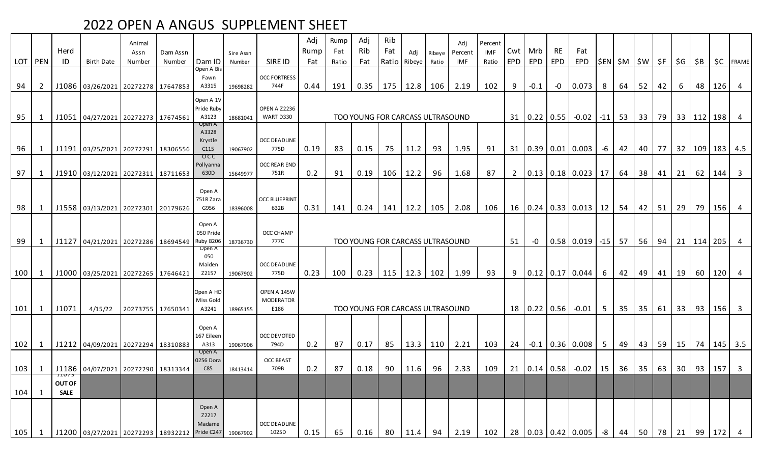| LOT <b>PEN</b> |                | Herd<br>ID                            | <b>Birth Date</b>                                  | Animal<br>Assn<br>Number | Dam Assn<br>Number | Dam ID                                         | Sire Assn<br>Number | SIRE ID                                 | Adj<br>Rump<br>Fat | Rump<br>Fat<br>Ratio | Adj<br>Rib<br>Fat                | Rib<br>Fat | Adi<br>Ratio Ribeye | Ribeye<br>Ratio | Adi<br>Percent<br>IMF | Percent<br>IMF<br>Ratio | EPD            | Cwt Mrb<br><b>EPD</b> | <b>RE</b><br>EPD | Fat<br>EPD                                       |                 | $ \$EN \$M \$W \$F \$G$ |    |              |           | \$B            |              | <b>\$C</b> FRAME        |
|----------------|----------------|---------------------------------------|----------------------------------------------------|--------------------------|--------------------|------------------------------------------------|---------------------|-----------------------------------------|--------------------|----------------------|----------------------------------|------------|---------------------|-----------------|-----------------------|-------------------------|----------------|-----------------------|------------------|--------------------------------------------------|-----------------|-------------------------|----|--------------|-----------|----------------|--------------|-------------------------|
| 94             | $\overline{2}$ |                                       | J1086 03/26/2021 20272278 17647853                 |                          |                    | Open A Bis<br>Fawn<br>A3315                    | 19698282            | <b>OCC FORTRESS</b><br>744F             | 0.44               | 191                  | 0.35                             | 175        | 12.8                | 106             | 2.19                  | 102                     | 9              | $-0.1$                | -0               | 0.073                                            | 8               | 64                      | 52 | 42           | 6         | 48             | 126          | $\overline{4}$          |
| 95             | 1              |                                       | J1051 04/27/2021 20272273 17674561                 |                          |                    | Open A 1V<br>Pride Ruby<br>A3123               | 18681041            | <b>OPEN A Z2236</b><br>WART D330        |                    |                      | TOO YOUNG FOR CARCASS ULTRASOUND |            |                     |                 |                       |                         |                |                       | 31   0.22   0.55 | $-0.02$                                          |                 | $-11$ 53                |    | 33   79      |           | 33   112   198 |              | $\overline{4}$          |
| 96             | 1              |                                       | J1191 03/25/2021 20272291 18306556                 |                          |                    | Open A<br>A3328<br>Krystle<br>C <sub>115</sub> | 19067902            | <b>OCC DEADLINE</b><br>775D             | 0.19               | 83                   | 0.15                             | 75         | 11.2                | 93              | 1.95                  | 91                      |                |                       |                  | 31   0.39   0.01   0.003                         | -6              | 42                      | 40 | 77           | 32        |                |              | 109   183   4.5         |
| 97             | 1              |                                       | J1910 03/12/2021 20272311 18711653                 |                          |                    | $_{\rm occ}$<br>Pollyanna<br>630D              | 15649977            | <b>OCC REAR END</b><br>751R             | 0.2                | 91                   | 0.19                             | 106        | 12.2                | 96              | 1.68                  | 87                      | $\overline{2}$ |                       |                  | $0.13$ 0.18 0.023                                | 17              | 64                      | 38 | 41           | 21        | 62             | 144          | $\overline{\mathbf{3}}$ |
| 98             | 1              |                                       | J1558 03/13/2021 20272301 20179626                 |                          |                    | Open A<br>751R Zara<br>G956                    | 18396008            | <b>OCC BLUEPRINT</b><br>632B            | 0.31               | 141                  | 0.24                             | 141        | 12.2                | 105             | 2.08                  | 106                     |                |                       |                  | $16 \mid 0.24 \mid 0.33 \mid 0.013 \mid 12 \mid$ |                 | 54                      |    | $42 \mid 51$ | 29        | 79             | 156          | $\overline{4}$          |
| 99             | 1              |                                       | J1127   04/21/2021   20272286   18694549           |                          |                    | Open A<br>050 Pride<br>Ruby B206               | 18736730            | OCC CHAMP<br>777C                       |                    |                      | TOO YOUNG FOR CARCASS ULTRASOUND |            |                     |                 |                       |                         | 51             | -0                    |                  | $0.58$ 0.019 -15 57                              |                 |                         |    | 56 94        | 21        | $114$ 205      |              | $\overline{4}$          |
| 100            | 1              |                                       | J1000 03/25/2021 20272265 17646421                 |                          |                    | Open A<br>050<br>Maiden<br>Z2157               | 19067902            | <b>OCC DEADLINE</b><br>775D             | 0.23               | 100                  | 0.23                             | 115        | 12.3                | 102             | 1.99                  | 93                      | 9              |                       |                  | $\vert 0.12 \vert 0.17 \vert 0.044$              | -6              | 42                      |    | 49 41        | 19        | 60             | 120          | $\overline{4}$          |
| 101            | 1              | J1071                                 | 4/15/22                                            | 20273755 17650341        |                    | Open A HD<br>Miss Gold<br>A3241                | 18965155            | OPEN A 145W<br><b>MODERATOR</b><br>E186 |                    |                      | TOO YOUNG FOR CARCASS ULTRASOUND |            |                     |                 |                       |                         |                |                       | 18 0.22 0.56     | $-0.01$                                          | $5\phantom{.0}$ | 35                      |    | $35 \mid 61$ | 33        | 93             | 156          | $\overline{\mathbf{3}}$ |
| 102            | $\mathbf{1}$   |                                       | J1212 04/09/2021 20272294 18310883                 |                          |                    | Open A<br>167 Eileen<br>A313                   | 19067906            | OCC DEVOTED<br>794D                     | 0.2                | 87                   | 0.17                             | 85         | 13.3                | 110             | 2.21                  | 103                     | 24             | $-0.1$                |                  | $0.36 \mid 0.008$                                | 5 <sup>5</sup>  | 49                      |    | 43 59        | $15 \mid$ | 74             |              | $145$ 3.5               |
|                |                |                                       | 103   1   J1186   04/07/2021   20272290   18313344 |                          |                    | Open A<br>0256 Dora<br>C85                     | 18413414            | <b>OCC BEAST</b><br>709B                | 0.2                | 87                   | 0.18                             | 90         | 11.6                | 96              | 2.33                  | 109                     |                |                       |                  | $21   0.14   0.58   -0.02   15  $                |                 | 36                      | 35 |              | 63 30     |                | 93   157   3 |                         |
| 104            | 1              | JIU75<br><b>OUT OF</b><br><b>SALE</b> |                                                    |                          |                    |                                                |                     |                                         |                    |                      |                                  |            |                     |                 |                       |                         |                |                       |                  |                                                  |                 |                         |    |              |           |                |              |                         |
| 105            | 1              |                                       | J1200 03/27/2021 20272293 18932212 Pride C247      |                          |                    | Open A<br>Z2217<br>Madame                      | 19067902            | <b>OCC DEADLINE</b><br>1025D            | 0.15               | 65                   | 0.16                             | 80         | 11.4                | 94              | 2.19                  | 102                     |                |                       |                  | 28 0.03 0.42 0.005                               | -8              | 44                      | 50 | 78           | 21        | 99             | 172          |                         |